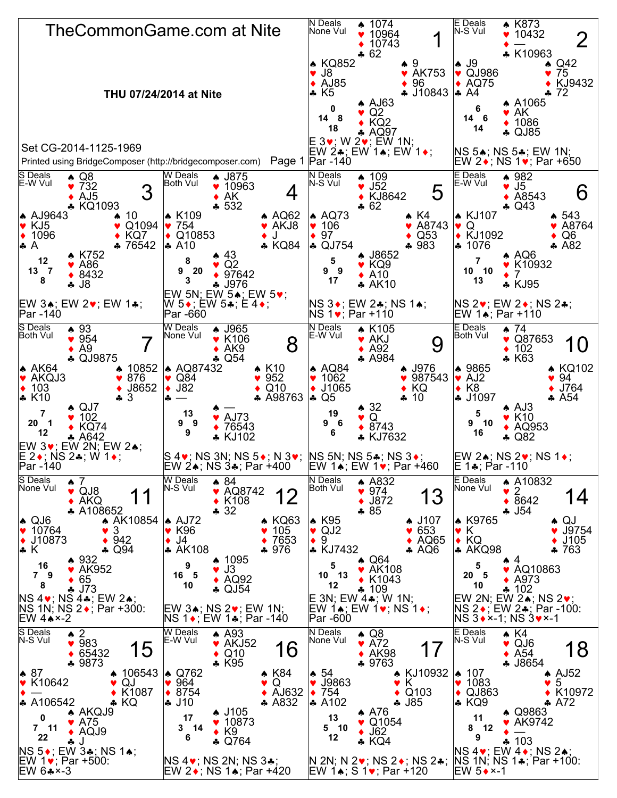